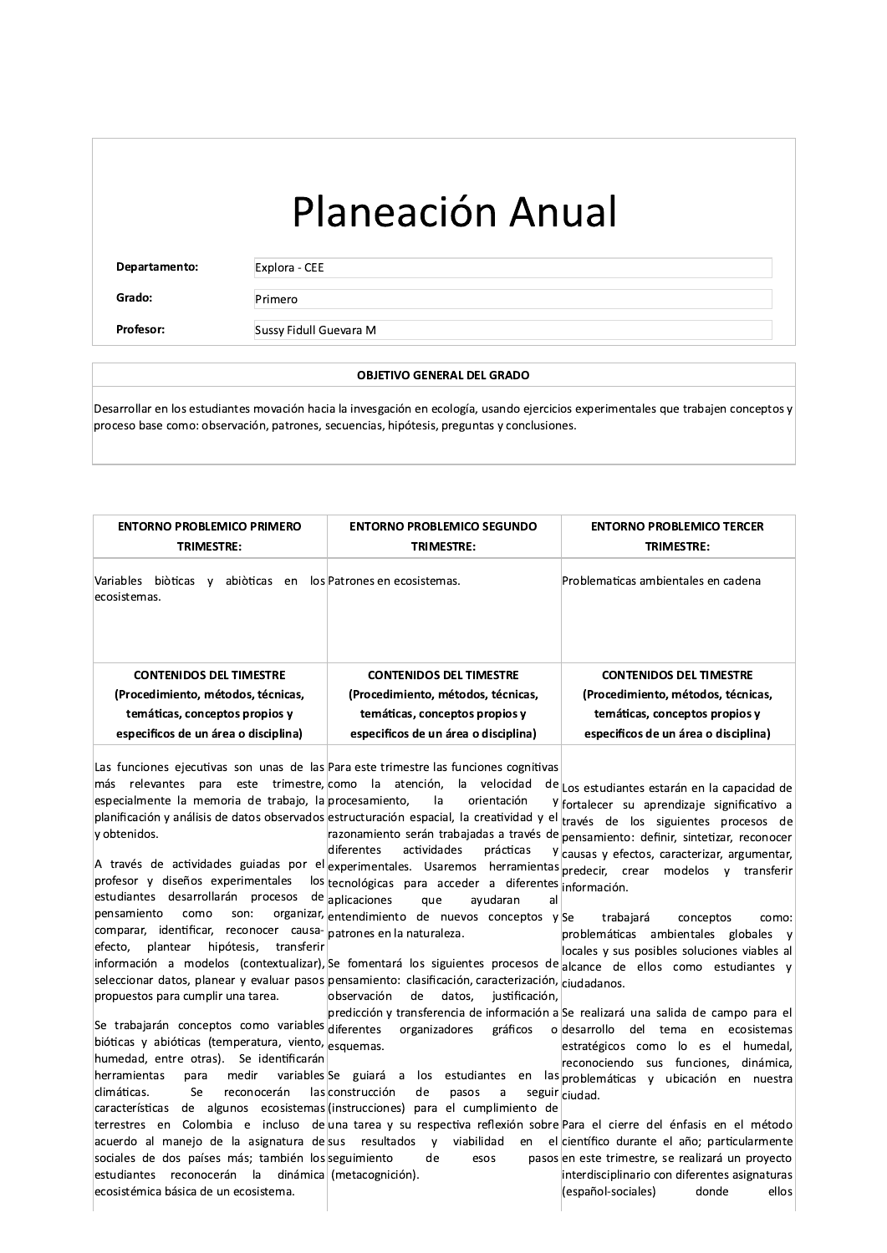## Planeación Anual

Departamento:

Explora - CEE Primero

Grado: Profesor:

Sussy Fidull Guevara M

## **OBJETIVO GENERAL DEL GRADO**

Desarrollar en los estudiantes movación hacia la invesgación en ecología, usando ejercicios experimentales que trabajen conceptos y proceso base como: observación, patrones, secuencias, hipótesis, preguntas y conclusiones.

| <b>ENTORNO PROBLEMICO PRIMERO</b>                                        | <b>ENTORNO PROBLEMICO SEGUNDO</b>    | <b>ENTORNO PROBLEMICO TERCER</b>     |
|--------------------------------------------------------------------------|--------------------------------------|--------------------------------------|
| <b>TRIMESTRE:</b>                                                        | <b>TRIMESTRE:</b>                    | <b>TRIMESTRE:</b>                    |
| Variables<br>abiòticas<br>biòticas<br>en<br>$\mathsf{v}$<br>ecosistemas. | los Patrones en ecosistemas.         | Problematicas ambientales en cadena  |
| <b>CONTENIDOS DEL TIMESTRE</b>                                           | <b>CONTENIDOS DEL TIMESTRE</b>       | <b>CONTENIDOS DEL TIMESTRE</b>       |
| (Procedimiento, métodos, técnicas,                                       | (Procedimiento, métodos, técnicas,   | (Procedimiento, métodos, técnicas,   |
| temáticas, conceptos propios y                                           | temáticas, conceptos propios y       | temáticas, conceptos propios y       |
| especificos de un área o disciplina)                                     | especificos de un área o disciplina) | especificos de un área o disciplina) |

| Las funciones ejecutivas son unas de las Para este trimestre las funciones cognitivas                                                                                                                                                          |
|------------------------------------------------------------------------------------------------------------------------------------------------------------------------------------------------------------------------------------------------|
| más relevantes para este trimestre, como la atención, la velocidad<br>de Los estudiantes estarán en la capacidad de                                                                                                                            |
| especialmente la memoria de trabajo, la procesamiento, la<br>orientación<br>Y fortalecer su aprendizaje significativo a                                                                                                                        |
| planificación y análisis de datos observados estructuración espacial, la creatividad y el través de los siguientes procesos de                                                                                                                 |
| y obtenidos.<br>razonamiento serán trabajadas a través de<br>pensamiento: definir, sintetizar, reconocer                                                                                                                                       |
| diferentes<br>actividades<br>prácticas<br>Y causas y efectos, caracterizar, argumentar,                                                                                                                                                        |
| $ $ A través de actividades guiadas por el $ $ experimentales. Usaremos herramientas $ $ predecir, crear modelos y transferir $ $                                                                                                              |
| profesor y diseños experimentales los tecnológicas para acceder a diferentes información.                                                                                                                                                      |
| estudiantes desarrollarán procesos de aplicaciones<br>que<br>avudaran<br>all                                                                                                                                                                   |
| como<br>son:<br>pensamiento<br>organizar, entendimiento de nuevos conceptos y Se<br>trabajará<br>conceptos<br>como:                                                                                                                            |
| comparar, identificar, reconocer causa- patrones en la naturaleza.<br>problemáticas ambientales globales y                                                                                                                                     |
| efecto, plantear hipótesis, transferir<br>locales y sus posibles soluciones viables al                                                                                                                                                         |
| información a modelos (contextualizar), Se fomentará los siguientes procesos de alcance de ellos como estudiantes y                                                                                                                            |
| seleccionar datos, planear y evaluar pasos pensamiento: clasificación, caracterización, ciudadanos.                                                                                                                                            |
| observación<br>de<br>datos, justificación,<br>propuestos para cumplir una tarea.                                                                                                                                                               |
| predicción y transferencia de información a Se realizará una salida de campo para el<br>Se trabajarán conceptos como variables diferentes<br>ecosistemas                                                                                       |
| organizadores gráficos<br>o desarrollo del tema<br>en<br>bióticas y abióticas (temperatura, viento, esquemas.<br>estratégicos como lo es el humedal.                                                                                           |
| humedad, entre otras). Se identificarán<br>reconociendo sus funciones, dinámica,                                                                                                                                                               |
| medir variables Se guiará a los estudiantes en las problemáticas y ubicación en nuestra<br>herramientas<br>para                                                                                                                                |
| climáticas.<br>las construcción<br>Se<br>reconocerán<br>de<br>pasos<br>a                                                                                                                                                                       |
|                                                                                                                                                                                                                                                |
| seguir ciudad.                                                                                                                                                                                                                                 |
| de algunos ecosistemas (instrucciones) para el cumplimiento de<br>características                                                                                                                                                              |
| terrestres en Colombia e incluso de una tarea y su respectiva reflexión sobre Para el cierre del énfasis en el método<br>acuerdo al manejo de la asignatura de sus resultados y viabilidad<br>en el científico durante el año; particularmente |
| sociales de dos países más; también los seguimiento<br>de<br>pasos en este trimestre, se realizará un proyecto<br>esos                                                                                                                         |
| reconocerán la dinámica (metacognición).<br>interdisciplinario con diferentes asignaturas<br>lestudiantes                                                                                                                                      |
| (español-sociales)<br>lecosistémica básica de un ecosistema.<br>donde<br>ellos                                                                                                                                                                 |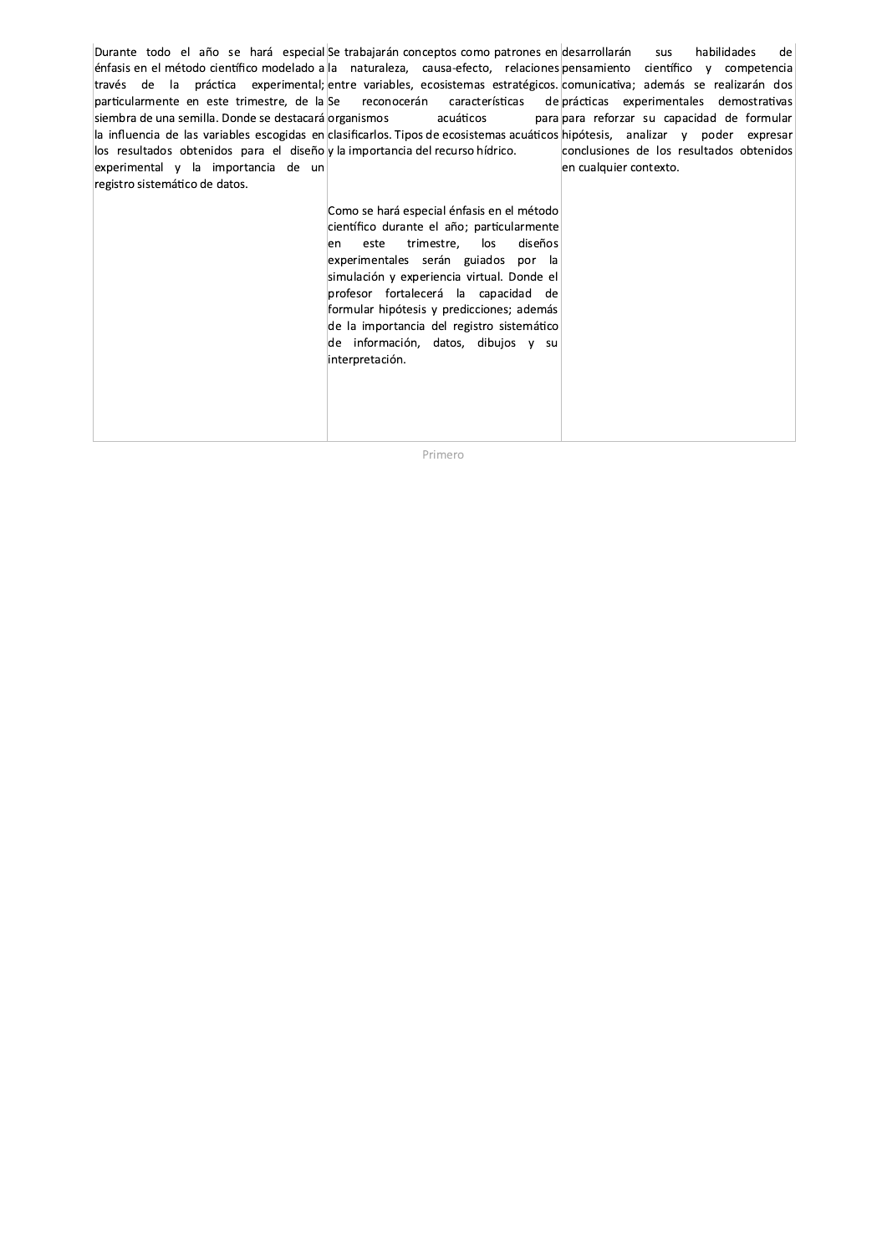| Durante todo el año se hará especial Se trabajarán conceptos como patrones en desarrollarán sus                      |                                             | habilidades<br>del                                                                                                             |
|----------------------------------------------------------------------------------------------------------------------|---------------------------------------------|--------------------------------------------------------------------------------------------------------------------------------|
|                                                                                                                      |                                             | enfasis en el método científico modelado a la maturaleza, causa-efecto, relaciones pensamiento científico y competencia        |
| través de la práctica experimental; entre-variables, ecosistemas-estratégicos comunicativa; además se realizarán dos |                                             |                                                                                                                                |
| particularmente en este trimestre, de la Se reconocerán características                                              |                                             | de prácticas experimentales demostrativas                                                                                      |
| siembra de una semilla. Donde se destacará organismos                                                                | acuáticos                                   | para para reforzar su capacidad de formular                                                                                    |
|                                                                                                                      |                                             | la influencia de las variables escogidas en clasificarlos. Tipos de ecosistemas acuáticos hipótesis, analizar y poder expresar |
| los resultados obtenidos para el diseño y la importancia del recurso hídrico.                                        |                                             | conclusiones de los resultados obtenidos                                                                                       |
| experimental y la importancia de un                                                                                  |                                             | en cualquier contexto.                                                                                                         |
| registro sistemático de datos.                                                                                       |                                             |                                                                                                                                |
|                                                                                                                      | Como se hará especial énfasis en el método  |                                                                                                                                |
|                                                                                                                      |                                             |                                                                                                                                |
|                                                                                                                      | científico durante el año; particularmente  |                                                                                                                                |
|                                                                                                                      | diseños<br>trimestre,<br>los<br>este<br>len |                                                                                                                                |
|                                                                                                                      | experimentales serán guiados por la         |                                                                                                                                |
|                                                                                                                      | simulación y experiencia virtual. Donde el  |                                                                                                                                |
|                                                                                                                      | profesor fortalecerá la capacidad de        |                                                                                                                                |
|                                                                                                                      | formular hipótesis y predicciones; además   |                                                                                                                                |
|                                                                                                                      |                                             |                                                                                                                                |
|                                                                                                                      | de la importancia del registro sistemático  |                                                                                                                                |
|                                                                                                                      | de información, datos, dibujos y su         |                                                                                                                                |
|                                                                                                                      | interpretación.                             |                                                                                                                                |
|                                                                                                                      |                                             |                                                                                                                                |
|                                                                                                                      |                                             |                                                                                                                                |
|                                                                                                                      |                                             |                                                                                                                                |
|                                                                                                                      |                                             |                                                                                                                                |
|                                                                                                                      |                                             |                                                                                                                                |

Primero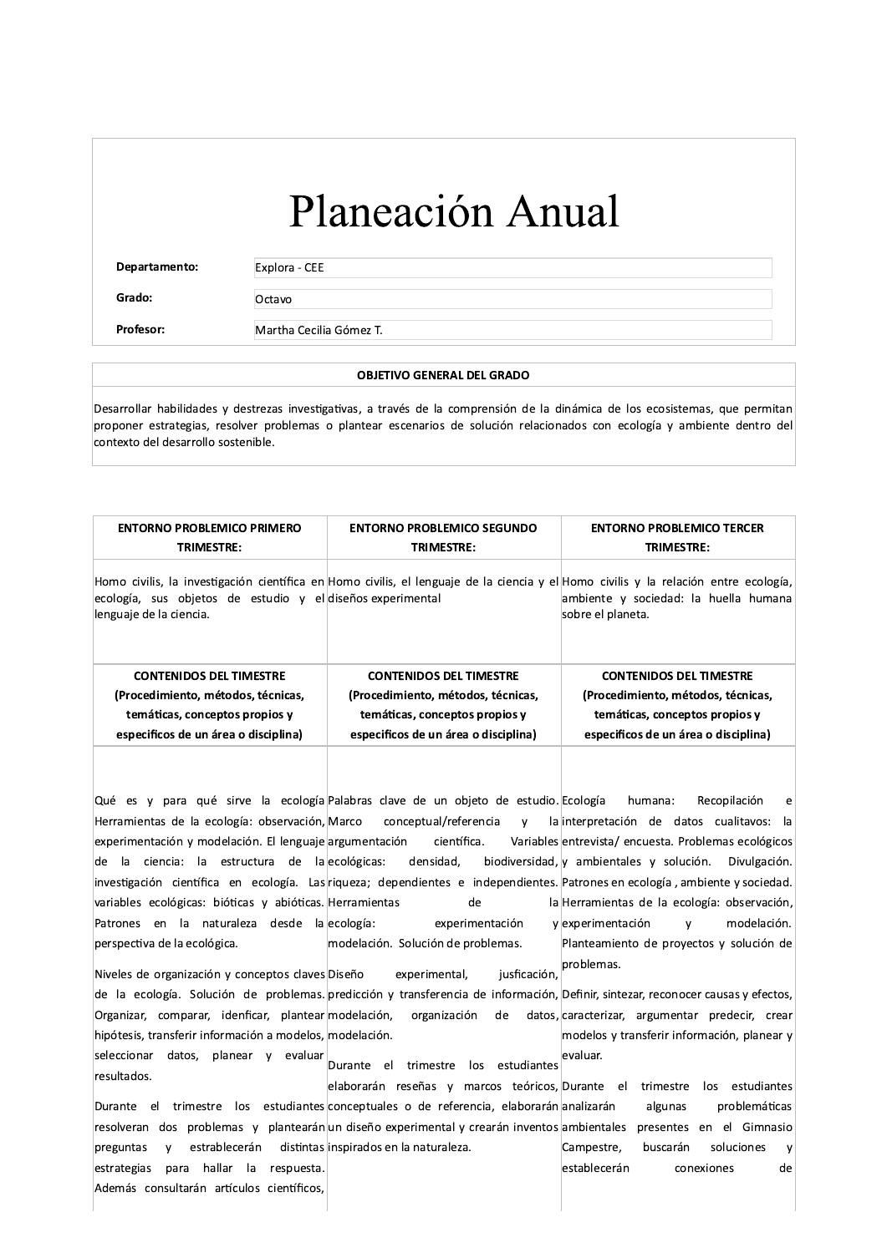## Planeación Anual

Departamento:

Explora - CEE

Octavo

Grado: Profesor:

Martha Cecilia Gómez T.

## **OBJETIVO GENERAL DEL GRADO**

Desarrollar habilidades y destrezas investigativas, a través de la comprensión de la dinámica de los ecosistemas, que permitan proponer estrategias, resolver problemas o plantear escenarios de solución relacionados con ecología y ambiente dentro del contexto del desarrollo sostenible.

| <b>ENTORNO PROBLEMICO PRIMERO</b><br><b>TRIMESTRE:</b>                                                                                                                                                                                                                                                                                                                                                                                                                                                                                                                                                                                               | <b>ENTORNO PROBLEMICO SEGUNDO</b><br>TRIMESTRE:                                                                                                                                                                                                                                     | <b>ENTORNO PROBLEMICO TERCER</b><br><b>TRIMESTRE:</b>                                                                                                                                                                                                                                                                                   |
|------------------------------------------------------------------------------------------------------------------------------------------------------------------------------------------------------------------------------------------------------------------------------------------------------------------------------------------------------------------------------------------------------------------------------------------------------------------------------------------------------------------------------------------------------------------------------------------------------------------------------------------------------|-------------------------------------------------------------------------------------------------------------------------------------------------------------------------------------------------------------------------------------------------------------------------------------|-----------------------------------------------------------------------------------------------------------------------------------------------------------------------------------------------------------------------------------------------------------------------------------------------------------------------------------------|
| Homo civilis, la investigación científica en Homo civilis, el lenguaje de la ciencia y el Homo civilis y la relación entre ecología,<br>ecología, sus objetos de estudio y el diseños experimental<br>lenguaje de la ciencia.                                                                                                                                                                                                                                                                                                                                                                                                                        |                                                                                                                                                                                                                                                                                     | ambiente y sociedad: la huella humana<br>sobre el planeta.                                                                                                                                                                                                                                                                              |
| <b>CONTENIDOS DEL TIMESTRE</b><br>(Procedimiento, métodos, técnicas,<br>temáticas, conceptos propios y<br>especificos de un área o disciplina)                                                                                                                                                                                                                                                                                                                                                                                                                                                                                                       | <b>CONTENIDOS DEL TIMESTRE</b><br>(Procedimiento, métodos, técnicas,<br>temáticas, conceptos propios y<br>especificos de un área o disciplina)                                                                                                                                      | <b>CONTENIDOS DEL TIMESTRE</b><br>(Procedimiento, métodos, técnicas,<br>temáticas, conceptos propios y<br>especificos de un área o disciplina)                                                                                                                                                                                          |
| Qué es y para qué sirve la ecología Palabras clave de un objeto de estudio. Ecología<br>Herramientas de la ecología: observación, Marco<br>experimentación y modelación. El lenguaje argumentación<br>de la ciencia: la estructura de la ecológicas:<br>investigación científica en ecología. Las riqueza; dependientes e independientes Patrones enecología, ambiente y sociedad.<br>variables ecológicas: bióticas y abióticas. Herramientas<br>Patrones en la naturaleza desde la ecología:<br>perspectiva de la ecológica.                                                                                                                       | conceptual/referencia<br>$\mathsf{v}$<br>científica.<br>densidad,<br>de<br>experimentación<br>modelación. Solución de problemas.                                                                                                                                                    | humana:<br>Recopilación<br>e<br>la interpretación de datos cualitavos:<br>- la<br>Variables entrevista/ encuesta. Problemas ecológicos<br>biodiversidad, y ambientales y solución.<br>Divulgación.<br>la Herramientas de la ecología: observación,<br>modelación.<br>y experimentación<br>V<br>Planteamiento de proyectos y solución de |
| Niveles de organización y conceptos claves Diseño<br>de la ecología. Solución de problemas predicción y transferencia de información, Definir, sintezar, reconocer causas y efectos,<br>Organizar, comparar, idenficar, plantear modelación,<br>hipótesis, transferir información a modelos, modelación.<br>seleccionar<br>datos,<br>planear y<br>evaluar<br>resultados.<br>Durante el<br>resolveran dos problemas y plantearán un diseño experimental y crearán inventos ambientales presentes en el Gimnasio<br>estrablecerán<br>preguntas<br>v<br>estrategias<br>hallar<br>respuesta.<br>la.<br>para<br>Además consultarán artículos científicos, | jusficación.<br>experimental.<br>organización<br>de<br>Durante el<br>trimestre<br>los<br>estudiantes<br>elaborarán reseñas y marcos teóricos, Durante el<br>trimestre los estudiantes conceptuales o de referencia, elaborarán analizarán<br>distintas inspirados en la naturaleza. | problemas.<br>datos, caracterizar, argumentar predecir, crear<br>modelos y transferir información, planear y<br>evaluar.<br>trimestre<br>estudiantes<br>los<br>algunas<br>problemáticas<br>Campestre,<br>buscarán<br>soluciones<br>y<br>establecerán<br>conexiones<br>de                                                                |